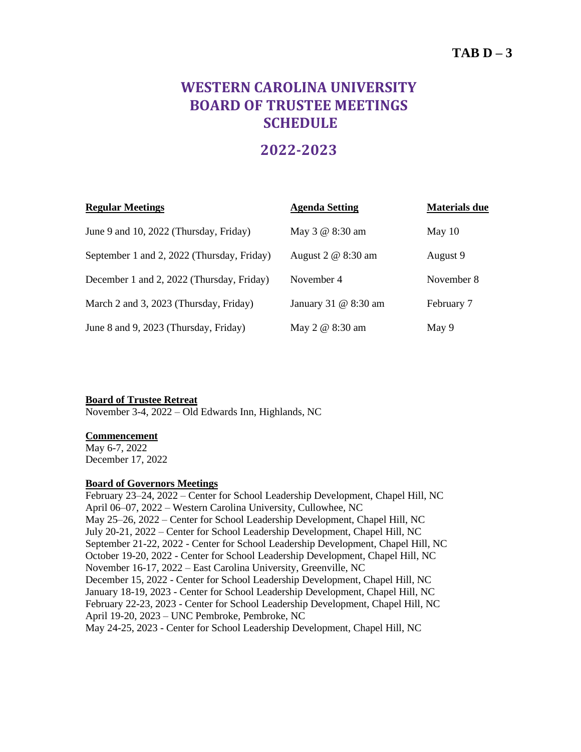# $TAB D - 3$

# **WESTERN CAROLINA UNIVERSITY BOARD OF TRUSTEE MEETINGS SCHEDULE**

## **2022-2023**

| <b>Regular Meetings</b>                    | <b>Agenda Setting</b> | <b>Materials due</b> |
|--------------------------------------------|-----------------------|----------------------|
| June 9 and 10, 2022 (Thursday, Friday)     | May 3 @ 8:30 am       | May $10$             |
| September 1 and 2, 2022 (Thursday, Friday) | August 2 @ 8:30 am    | August 9             |
| December 1 and 2, 2022 (Thursday, Friday)  | November 4            | November 8           |
| March 2 and 3, 2023 (Thursday, Friday)     | January 31 @ 8:30 am  | February 7           |
| June 8 and 9, 2023 (Thursday, Friday)      | May 2 @ 8:30 am       | May 9                |

**Board of Trustee Retreat** November 3-4, 2022 – Old Edwards Inn, Highlands, NC

#### **Commencement**

May 6-7, 2022 December 17, 2022

### **Board of Governors Meetings**

February 23–24, 2022 – Center for School Leadership Development, Chapel Hill, NC April 06–07, 2022 – Western Carolina University, Cullowhee, NC May 25–26, 2022 – Center for School Leadership Development, Chapel Hill, NC July 20-21, 2022 – Center for School Leadership Development, Chapel Hill, NC September 21-22, 2022 - Center for School Leadership Development, Chapel Hill, NC October 19-20, 2022 - Center for School Leadership Development, Chapel Hill, NC November 16-17, 2022 – East Carolina University, Greenville, NC December 15, 2022 - Center for School Leadership Development, Chapel Hill, NC January 18-19, 2023 - Center for School Leadership Development, Chapel Hill, NC February 22-23, 2023 - Center for School Leadership Development, Chapel Hill, NC April 19-20, 2023 – UNC Pembroke, Pembroke, NC May 24-25, 2023 - Center for School Leadership Development, Chapel Hill, NC